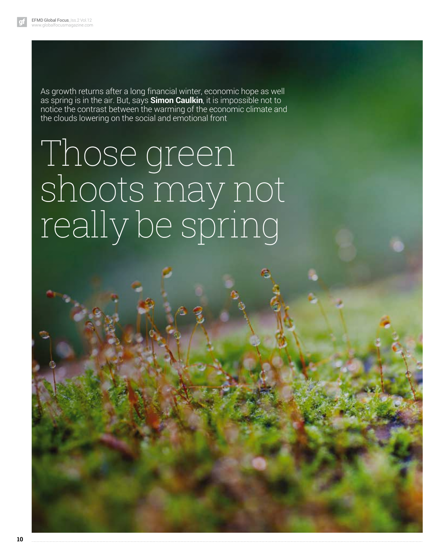As growth returns after a long financial winter, economic hope as well as spring is in the air. But, says **Simon Caulkin**, it is impossible not to notice the contrast between the warming of the economic climate and the clouds lowering on the social and emotional front

# Those green shoots may not really be spring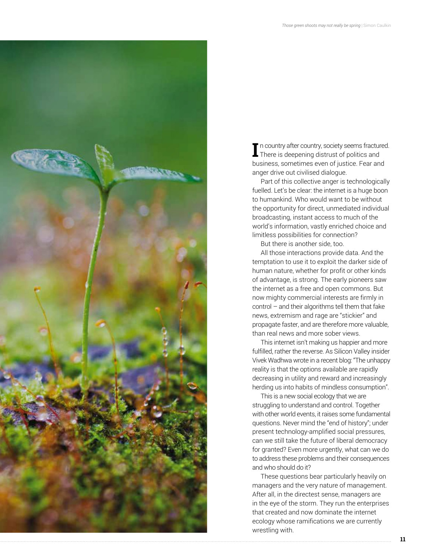

**I** In country after country, society seems fractured.<br>There is deepening distrust of politics and There is deepening distrust of politics and business, sometimes even of justice. Fear and anger drive out civilised dialogue.

Part of this collective anger is technologically fuelled. Let's be clear: the internet is a huge boon to humankind. Who would want to be without the opportunity for direct, unmediated individual broadcasting, instant access to much of the world's information, vastly enriched choice and limitless possibilities for connection?

But there is another side, too.

All those interactions provide data. And the temptation to use it to exploit the darker side of human nature, whether for profit or other kinds of advantage, is strong. The early pioneers saw the internet as a free and open commons. But now mighty commercial interests are firmly in control – and their algorithms tell them that fake news, extremism and rage are "stickier" and propagate faster, and are therefore more valuable, than real news and more sober views.

This internet isn't making us happier and more fulfilled, rather the reverse. As Silicon Valley insider Vivek Wadhwa wrote in a recent blog: "The unhappy reality is that the options available are rapidly decreasing in utility and reward and increasingly herding us into habits of mindless consumption".

This is a new social ecology that we are struggling to understand and control. Together with other world events, it raises some fundamental questions. Never mind the "end of history"; under present technology-amplified social pressures, can we still take the future of liberal democracy for granted? Even more urgently, what can we do to address these problems and their consequences and who should do it?

These questions bear particularly heavily on managers and the very nature of management. After all, in the directest sense, managers are in the eye of the storm. They run the enterprises that created and now dominate the internet ecology whose ramifications we are currently wrestling with.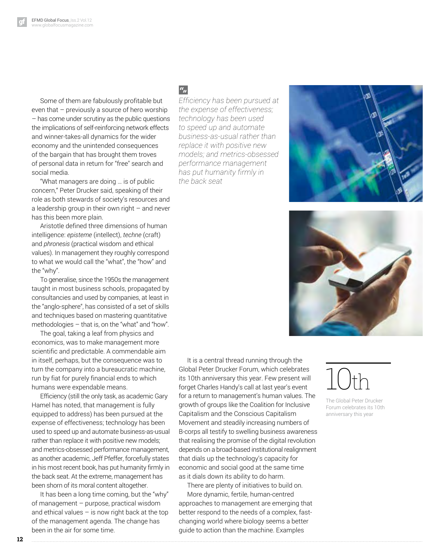Some of them are fabulously profitable but even that – previously a source of hero worship – has come under scrutiny as the public questions the implications of self-reinforcing network effects and winner-takes-all dynamics for the wider economy and the unintended consequences of the bargain that has brought them troves of personal data in return for "free" search and social media.

"What managers are doing … is of public concern," Peter Drucker said, speaking of their role as both stewards of society's resources and a leadership group in their own right – and never has this been more plain.

Aristotle defined three dimensions of human intelligence: *episteme* (intellect), *techne* (craft) and *phronesis* (practical wisdom and ethical values). In management they roughly correspond to what we would call the "what", the "how" and the "why".

To generalise, since the 1950s the management taught in most business schools, propagated by consultancies and used by companies, at least in the "anglo-sphere", has consisted of a set of skills and techniques based on mastering quantitative methodologies – that is, on the "what" and "how".

The goal, taking a leaf from physics and economics, was to make management more scientific and predictable. A commendable aim in itself, perhaps, but the consequence was to turn the company into a bureaucratic machine, run by fiat for purely financial ends to which humans were expendable means.

Efficiency (still the only task, as academic Gary Hamel has noted, that management is fully equipped to address) has been pursued at the expense of effectiveness; technology has been used to speed up and automate business-as-usual rather than replace it with positive new models; and metrics-obsessed performance management, as another academic, Jeff Pfeffer, forcefully states in his most recent book, has put humanity firmly in the back seat. At the extreme, management has been shorn of its moral content altogether.

It has been a long time coming, but the "why" of management – purpose, practical wisdom and ethical values – is now right back at the top of the management agenda. The change has been in the air for some time.

### $a_{jj}$

*Efficiency has been pursued at the expense of effectiveness; technology has been used to speed up and automate business-as-usual rather than replace it with positive new models; and metrics-obsessed performance management has put humanity firmly in the back seat*





It is a central thread running through the Global Peter Drucker Forum, which celebrates its 10th anniversary this year. Few present will forget Charles Handy's call at last year's event for a return to management's human values. The growth of groups like the Coalition for Inclusive Capitalism and the Conscious Capitalism Movement and steadily increasing numbers of B-corps all testify to swelling business awareness that realising the promise of the digital revolution depends on a broad-based institutional realignment that dials up the technology's capacity for economic and social good at the same time as it dials down its ability to do harm.

There are plenty of initiatives to build on. More dynamic, fertile, human-centred approaches to management are emerging that better respond to the needs of a complex, fastchanging world where biology seems a better guide to action than the machine. Examples

## 10th

The Global Peter Drucker Forum celebrates its 10th anniversary this year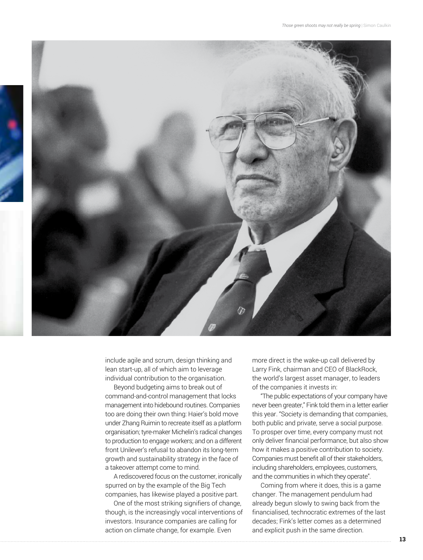

include agile and scrum, design thinking and lean start-up, all of which aim to leverage individual contribution to the organisation.

Beyond budgeting aims to break out of command-and-control management that locks management into hidebound routines. Companies too are doing their own thing: Haier's bold move under Zhang Ruimin to recreate itself as a platform organisation; tyre-maker Michelin's radical changes to production to engage workers; and on a different front Unilever's refusal to abandon its long-term growth and sustainability strategy in the face of a takeover attempt come to mind.

A rediscovered focus on the customer, ironically spurred on by the example of the Big Tech companies, has likewise played a positive part.

One of the most striking signifiers of change, though, is the increasingly vocal interventions of investors. Insurance companies are calling for action on climate change, for example. Even

more direct is the wake-up call delivered by Larry Fink, chairman and CEO of BlackRock, the world's largest asset manager, to leaders of the companies it invests in:

"The public expectations of your company have never been greater," Fink told them in a letter earlier this year. "Society is demanding that companies, both public and private, serve a social purpose. To prosper over time, every company must not only deliver financial performance, but also show how it makes a positive contribution to society. Companies must benefit all of their stakeholders, including shareholders, employees, customers, and the communities in which they operate".

Coming from where it does, this is a game changer. The management pendulum had already begun slowly to swing back from the financialised, technocratic extremes of the last decades; Fink's letter comes as a determined and explicit push in the same direction.